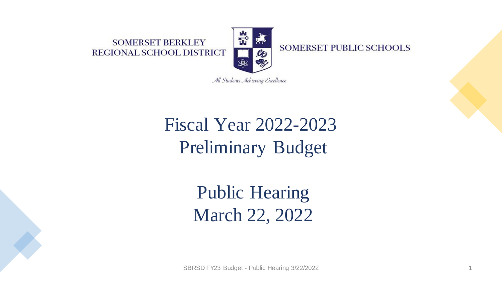#### **SOMERSET BERKLEY REGIONAL SCHOOL DISTRICT**



**SOMERSET PUBLIC SCHOOLS** 

All Students Achieving Excellence

## Fiscal Year 2022-2023 Preliminary Budget

Public Hearing March 22, 2022

SBRSD FY23 Budget - Public Hearing 3/22/2022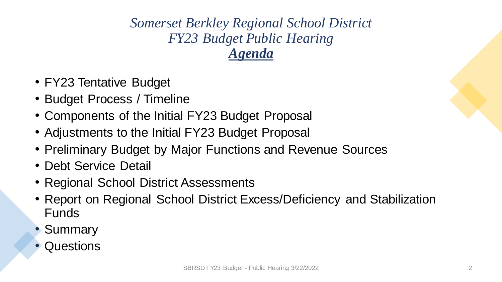*Somerset Berkley Regional School District FY23 Budget Public Hearing Agenda*

- FY23 Tentative Budget
- Budget Process / Timeline
- Components of the Initial FY23 Budget Proposal
- Adjustments to the Initial FY23 Budget Proposal
- Preliminary Budget by Major Functions and Revenue Sources
- Debt Service Detail
- Regional School District Assessments
- Report on Regional School District Excess/Deficiency and Stabilization Funds
- Summary
- Questions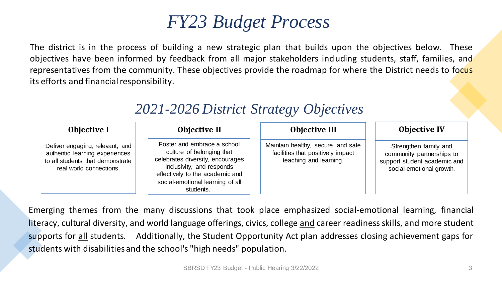### *FY23 Budget Process*

The district is in the process of building a new strategic plan that builds upon the objectives below. These objectives have been informed by feedback from all major stakeholders including students, staff, families, and representatives from the community. These objectives provide the roadmap for where the District needs to focus its efforts and financial responsibility.

| <b>Objective I</b>                                                                                                               | <b>Objective II</b>                                                                                                                                                                                           | <b>Objective III</b>                                                                              | <b>Objective IV</b>                                                                                            |
|----------------------------------------------------------------------------------------------------------------------------------|---------------------------------------------------------------------------------------------------------------------------------------------------------------------------------------------------------------|---------------------------------------------------------------------------------------------------|----------------------------------------------------------------------------------------------------------------|
| Deliver engaging, relevant, and<br>authentic learning experiences<br>to all students that demonstrate<br>real world connections. | Foster and embrace a school<br>culture of belonging that<br>celebrates diversity, encourages<br>inclusivity, and responds<br>effectively to the academic and<br>social-emotional learning of all<br>students. | Maintain healthy, secure, and safe<br>facilities that positively impact<br>teaching and learning. | Strengthen family and<br>community partnerships to<br>support student academic and<br>social-emotional growth. |

#### *2021-2026 District Strategy Objectives*

Emerging themes from the many discussions that took place emphasized social-emotional learning, financial literacy, cultural diversity, and world language offerings, civics, college and career readiness skills, and more student supports for all students. Additionally, the Student Opportunity Act plan addresses closing achievement gaps for students with disabilities and the school's "high needs" population.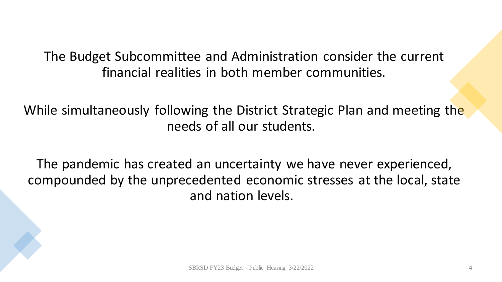The Budget Subcommittee and Administration consider the current financial realities in both member communities.

While simultaneously following the District Strategic Plan and meeting the needs of all our students.

The pandemic has created an uncertainty we have never experienced, compounded by the unprecedented economic stresses at the local, state and nation levels.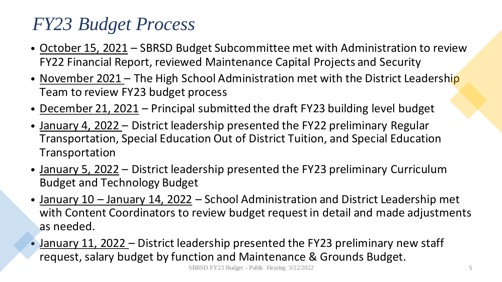## *FY23 Budget Process*

- October 15, 2021 SBRSD Budget Subcommittee met with Administration to review FY22 Financial Report, reviewed Maintenance Capital Projects and Security
- November 2021 The High School Administration met with the District Leadership Team to review FY23 budget process
- December 21, 2021 Principal submitted the draft FY23 building level budget
- January 4, 2022 District leadership presented the FY22 preliminary Regular Transportation, Special Education Out of District Tuition, and Special Education Transportation
- January 5, 2022 District leadership presented the FY23 preliminary Curriculum Budget and Technology Budget
- January 10 January 14, 2022 School Administration and District Leadership met with Content Coordinators to review budget request in detail and made adjustments as needed.
- January 11, 2022 District leadership presented the FY23 preliminary new staff request, salary budget by function and Maintenance & Grounds Budget.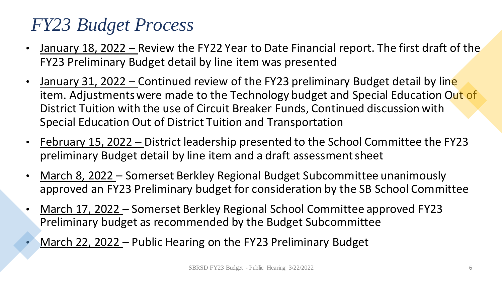## *FY23 Budget Process*

- January 18, 2022 Review the FY22 Year to Date Financial report. The first draft of the FY23 Preliminary Budget detail by line item was presented
- January 31, 2022 Continued review of the FY23 preliminary Budget detail by line item. Adjustments were made to the Technology budget and Special Education Out of District Tuition with the use of Circuit Breaker Funds, Continued discussion with Special Education Out of District Tuition and Transportation
- February 15, 2022 District leadership presented to the School Committee the FY23 preliminary Budget detail by line item and a draft assessment sheet
- March 8, 2022 Somerset Berkley Regional Budget Subcommittee unanimously approved an FY23 Preliminary budget for consideration by the SB School Committee
- March 17, 2022 Somerset Berkley Regional School Committee approved FY23 Preliminary budget as recommended by the Budget Subcommittee
- March 22, 2022 Public Hearing on the FY23 Preliminary Budget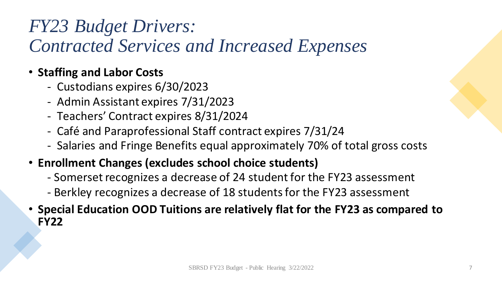## *FY23 Budget Drivers: Contracted Services and Increased Expenses*

#### • **Staffing and Labor Costs**

- Custodians expires 6/30/2023
- Admin Assistant expires 7/31/2023
- Teachers' Contract expires 8/31/2024
- Café and Paraprofessional Staff contract expires 7/31/24
- Salaries and Fringe Benefits equal approximately 70% of total gross costs
- **Enrollment Changes (excludes school choice students)**
	- Somerset recognizes a decrease of 24 student for the FY23 assessment
	- Berkley recognizes a decrease of 18 students for the FY23 assessment
- **Special Education OOD Tuitions are relatively flat for the FY23 as compared to FY22**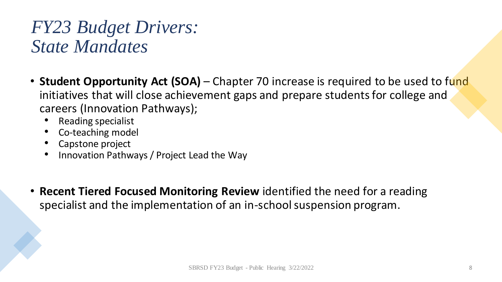### *FY23 Budget Drivers: State Mandates*

- **Student Opportunity Act (SOA)** Chapter 70 increase is required to be used to fund initiatives that will close achievement gaps and prepare students for college and careers (Innovation Pathways);
	- Reading specialist
	- Co-teaching model
	- Capstone project
	- Innovation Pathways / Project Lead the Way
- **Recent Tiered Focused Monitoring Review** identified the need for a reading specialist and the implementation of an in-school suspension program.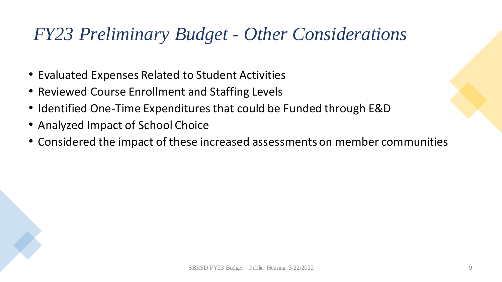## *FY23 Preliminary Budget - Other Considerations*

- Evaluated Expenses Related to Student Activities
- Reviewed Course Enrollment and Staffing Levels
- Identified One-Time Expenditures that could be Funded through E&D
- Analyzed Impact of School Choice
- Considered the impact of these increased assessments on member communities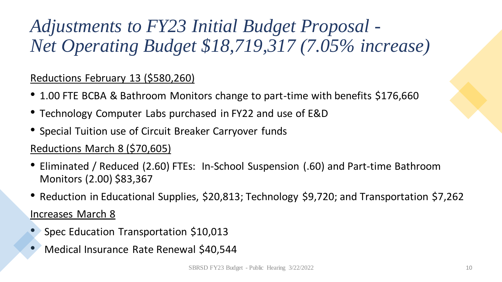## *Adjustments to FY23 Initial Budget Proposal - Net Operating Budget \$18,719,317 (7.05% increase)*

#### Reductions February 13 (\$580,260)

- 1.00 FTE BCBA & Bathroom Monitors change to part-time with benefits \$176,660
- Technology Computer Labs purchased in FY22 and use of E&D
- Special Tuition use of Circuit Breaker Carryover funds

#### Reductions March 8 (\$70,605)

- Eliminated / Reduced (2.60) FTEs: In-School Suspension (.60) and Part-time Bathroom Monitors (2.00) \$83,367
- Reduction in Educational Supplies, \$20,813; Technology \$9,720; and Transportation \$7,262 Increases March 8
- Spec Education Transportation \$10,013
- Medical Insurance Rate Renewal \$40,544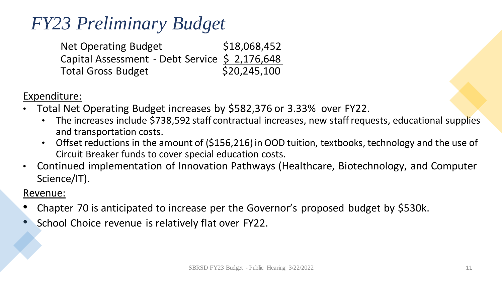## *FY23 Preliminary Budget*

| <b>Net Operating Budget</b>                    | \$18,068,452 |
|------------------------------------------------|--------------|
| Capital Assessment - Debt Service \$ 2,176,648 |              |
| <b>Total Gross Budget</b>                      | \$20,245,100 |

Expenditure:

- Total Net Operating Budget increases by \$582,376 or 3.33% over FY22.
	- The increases include \$738,592 staff contractual increases, new staff requests, educational supplies and transportation costs.
	- Offset reductions in the amount of (\$156,216) in OOD tuition, textbooks, technology and the use of Circuit Breaker funds to cover special education costs.
- Continued implementation of Innovation Pathways (Healthcare, Biotechnology, and Computer Science/IT).

#### Revenue:

- Chapter 70 is anticipated to increase per the Governor's proposed budget by \$530k.
- School Choice revenue is relatively flat over FY22.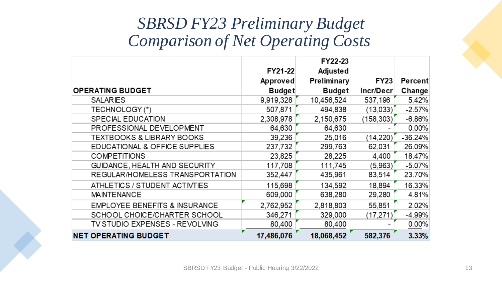#### *SBRSD FY23 Preliminary Budget Comparison of Net Operating Costs*

|                                          |                     | FY22-23                 |             |                |
|------------------------------------------|---------------------|-------------------------|-------------|----------------|
|                                          | FY21-22<br>Approved | Adjusted<br>Preliminary | <b>FY23</b> | <b>Percent</b> |
| <b>OPERATING BUDGET</b>                  | <b>Budget</b>       | <b>Budget</b>           | Incr/Decr   | Change         |
| <b>SALARIES</b>                          | 9,919,328           | 10,456,524              | 537,196     | 5.42%          |
| TECHNOLOGY (*)                           | 507,871             | 494,838                 | (13,033)    | $-2.57%$       |
| <b>SPECIAL EDUCATION</b>                 | 2,308,978           | 2,150,675               | (158, 303)  | $-6.86%$       |
| PROFESSIONAL DEVELOPMENT                 | 64,630              | 64,630                  |             | $0.00\%$       |
| TEXTBOOKS & LIBRARY BOOKS                | 39,236              | 25,016                  | (14, 220)   | $-36.24%$      |
| EDUCATIONAL & OFFICE SUPPLIES            | 237,732             | 299,763                 | 62,031      | 26.09%         |
| <b>COMPETITIONS</b>                      | 23,825              | 28,225                  | 4,400       | 18.47%         |
| GUIDANCE, HEALTH AND SECURITY            | 117,708             | 111,745                 | (5,963)     | $-5.07%$       |
| REGULAR/HOMELESS TRANSPORTATION          | 352,447             | 435,961                 | 83,514      | 23.70%         |
| ATHLETICS / STUDENT ACTIVTIES            | 115,698             | 134,592                 | 18,894      | 16.33%         |
| <b>MAINTENANCE</b>                       | 609,000             | 638,280                 | 29,280      | 4.81%          |
| <b>EMPLOYEE BENEFITS &amp; INSURANCE</b> | 2,762,952           | 2,818,803               | 55,851      | 2.02%          |
| SCHOOL CHOICE/CHARTER SCHOOL             | 346,271             | 329,000                 | (17, 271)   | $-4.99%$       |
| TV STUDIO EXPENSES - REVOLVING           | 80,400              | 80,400                  |             | $0.00\%$       |
| <b>NET OPERATING BUDGET</b>              | 17,486,076          | 18,068,452              | 582,376     | 3.33%          |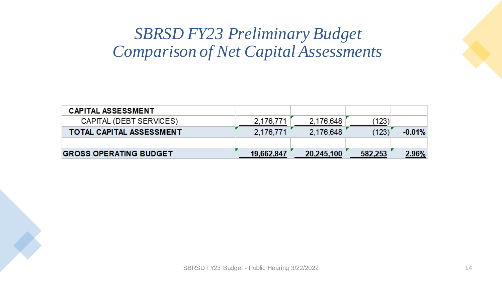#### *SBRSD FY23 Preliminary Budget Comparison of Net Capital Assessments*

| <b>CAPITAL ASSESSMENT</b>       |            |            |         |          |
|---------------------------------|------------|------------|---------|----------|
| CAPITAL (DEBT SERVICES)         | 2,176,771  | 2,176,648  | (123)   |          |
| <b>TOTAL CAPITAL ASSESSMENT</b> | 2.176,771  | 2,176,648  | (123)   | $-0.01%$ |
|                                 |            |            |         |          |
| <b>GROSS OPERATING BUDGET</b>   | 19.662.847 | 20,245,100 | 582,253 | $2.96\%$ |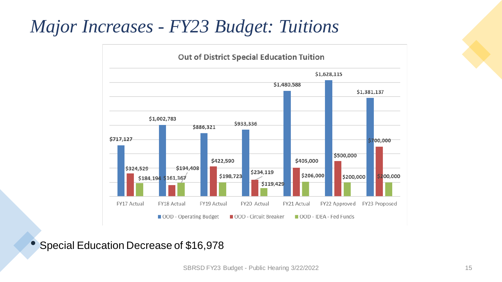## *Major Increases - FY23 Budget: Tuitions*



#### • Special Education Decrease of \$16,978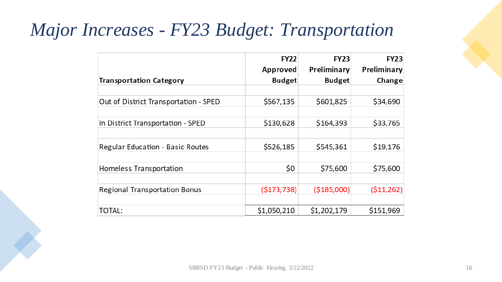## *Major Increases - FY23 Budget: Transportation*

|                                       | <b>FY22</b><br>Approved | <b>FY23</b><br>Preliminary | <b>FY23</b><br>Preliminary |
|---------------------------------------|-------------------------|----------------------------|----------------------------|
| <b>Transportation Category</b>        | <b>Budget</b>           | <b>Budget</b>              | Change                     |
|                                       |                         |                            |                            |
| Out of District Transportation - SPED | \$567,135               | \$601,825                  | \$34,690                   |
|                                       |                         |                            |                            |
| In District Transportation - SPED     | \$130,628               | \$164,393                  | \$33,765                   |
|                                       |                         |                            |                            |
| Regular Education - Basic Routes      | \$526,185               | \$545,361                  | \$19,176                   |
|                                       |                         |                            |                            |
| Homeless Transportation               | \$0                     | \$75,600                   | \$75,600                   |
|                                       |                         |                            |                            |
| <b>Regional Transportation Bonus</b>  | (5173, 738)             | ( \$185,000)               | (511, 262)                 |
|                                       |                         |                            |                            |
| TOTAL:                                | \$1,050,210             | \$1,202,179                | \$151,969                  |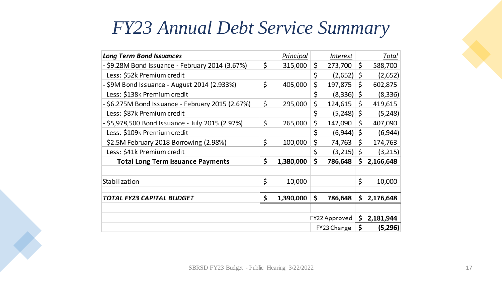### *FY23 Annual Debt Service Summary*

| <b>Long Term Bond Issuances</b>                  |    | Principal | <i><u><b>Interest</b></u></i> | <u>Total</u>    |
|--------------------------------------------------|----|-----------|-------------------------------|-----------------|
| - \$9.28M Bond Issuance - February 2014 (3.67%)  | \$ | 315,000   | \$<br>273,700                 | \$<br>588,700   |
| Less: \$52k Premium credit                       |    |           | \$<br>(2,652)                 | \$<br>(2,652)   |
| - \$9M Bond Issuance - August 2014 (2.933%)      | \$ | 405,000   | \$<br>197,875                 | \$<br>602,875   |
| Less: \$138k Premium credit                      |    |           | \$<br>(8,336)                 | \$<br>(8, 336)  |
| - \$6.275M Bond Issuance - February 2015 (2.67%) | \$ | 295,000   | \$<br>124,615                 | \$<br>419,615   |
| Less: \$87k Premium credit                       |    |           | \$<br>(5, 248)                | \$<br>(5, 248)  |
| - \$5,978,500 Bond Issuance - July 2015 (2.92%)  | \$ | 265,000   | \$<br>142,090                 | \$<br>407,090   |
| Less: \$109k Premium credit                      |    |           | \$<br>(6,944)                 | \$<br>(6,944)   |
| - \$2.5M February 2018 Borrowing (2.98%)         | \$ | 100,000   | \$<br>74,763                  | \$<br>174,763   |
| Less: \$41k Premium credit                       |    |           | \$<br>(3,215)                 | \$<br>(3,215)   |
| <b>Total Long Term Issuance Payments</b>         | \$ | 1,380,000 | \$<br>786,648                 | \$<br>2,166,648 |
| Stabilization                                    | \$ | 10,000    |                               | \$<br>10,000    |
| TOTAL FY23 CAPITAL BUDGET                        |    | 1,390,000 | \$<br>786,648                 | \$<br>2,176,648 |
|                                                  |    |           | FY22 Approved                 | \$<br>2,181,944 |
|                                                  |    |           | FY23 Change                   | \$<br>(5,296)   |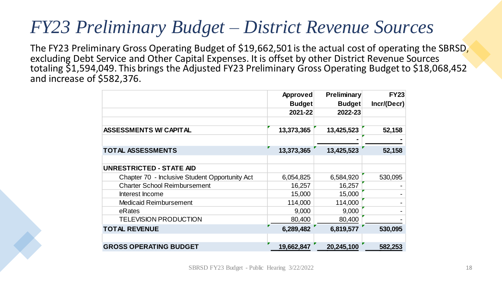### *FY23 Preliminary Budget – District Revenue Sources*

The FY23 Preliminary Gross Operating Budget of \$19,662,501 is the actual cost of operating the SBRSD, excluding Debt Service and Other Capital Expenses. It is offset by other District Revenue Sources totaling \$1,594,049. This brings the Adjusted FY23 Preliminary Gross Operating Budget to \$18,068,452 and increase of \$582,376.

|                                                | <b>Approved</b><br><b>Budget</b> | <b>Preliminary</b><br><b>Budget</b> | <b>FY23</b><br>Incr/(Decr) |
|------------------------------------------------|----------------------------------|-------------------------------------|----------------------------|
|                                                | 2021-22                          | 2022-23                             |                            |
|                                                |                                  |                                     |                            |
| <b>ASSESSMENTS W/ CAPITAL</b>                  | 13,373,365                       | 13,425,523                          | 52,158                     |
|                                                |                                  |                                     |                            |
| <b>TOTAL ASSESSMENTS</b>                       | 13,373,365                       | 13,425,523                          | 52,158                     |
| <b>UNRESTRICTED - STATE AID</b>                |                                  |                                     |                            |
| Chapter 70 - Inclusive Student Opportunity Act | 6,054,825                        | 6,584,920                           | 530,095                    |
| <b>Charter School Reimbursement</b>            | 16,257                           | 16,257                              |                            |
| Interest Income                                | 15,000                           | 15,000                              |                            |
| <b>Medicaid Reimbursement</b>                  | 114,000                          | 114,000                             |                            |
| eRates                                         | 9,000                            | 9,000                               |                            |
| <b>TELEVISION PRODUCTION</b>                   | 80,400                           | 80,400                              |                            |
| <b>TOTAL REVENUE</b>                           | 6,289,482                        | 6,819,577                           | 530,095                    |
| <b>GROSS OPERATING BUDGET</b>                  | 19,662,847                       | 20,245,100                          | 582,253                    |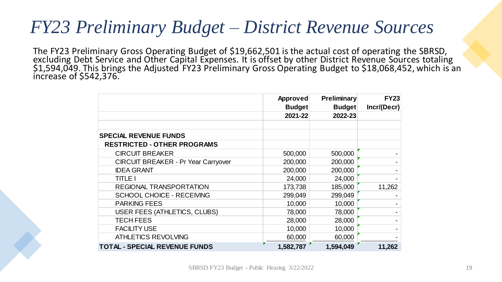#### *FY23 Preliminary Budget – District Revenue Sources*

The FY23 Preliminary Gross Operating Budget of \$19,662,501 is the actual cost of operating the SBRSD, excluding Debt Service and Other Capital Expenses. It is offset by other District Revenue Sources totaling \$1,594,049. This brings the Adjusted FY23 Preliminary Gross Operating Budget to \$18,068,452, which is an increase of \$542,376.

|                                            | Approved      | <b>Preliminary</b> | <b>FY23</b> |
|--------------------------------------------|---------------|--------------------|-------------|
|                                            | <b>Budget</b> | <b>Budget</b>      | Incr/(Decr) |
|                                            | 2021-22       | 2022-23            |             |
|                                            |               |                    |             |
| <b>SPECIAL REVENUE FUNDS</b>               |               |                    |             |
| <b>RESTRICTED - OTHER PROGRAMS</b>         |               |                    |             |
| <b>CIRCUIT BREAKER</b>                     | 500,000       | 500,000            |             |
| <b>CIRCUIT BREAKER - Pr Year Carryover</b> | 200,000       | 200,000            |             |
| <b>IDEA GRANT</b>                          | 200,000       | 200,000            |             |
| <b>TITLE I</b>                             | 24,000        | 24,000             |             |
| REGIONAL TRANSPORTATION                    | 173,738       | 185,000            | 11,262      |
| <b>SCHOOL CHOICE - RECEIVING</b>           | 299,049       | 299,049            |             |
| <b>PARKING FEES</b>                        | 10,000        | 10,000             |             |
| USER FEES (ATHLETICS, CLUBS)               | 78,000        | 78,000             |             |
| <b>TECH FEES</b>                           | 28,000        | 28,000             |             |
| <b>FACILITY USE</b>                        | 10,000        | 10,000             |             |
| <b>ATHLETICS REVOLVING</b>                 | 60,000        | 60,000             |             |
| <b>TOTAL - SPECIAL REVENUE FUNDS</b>       | 1,582,787     | 1,594,049          | 11,262      |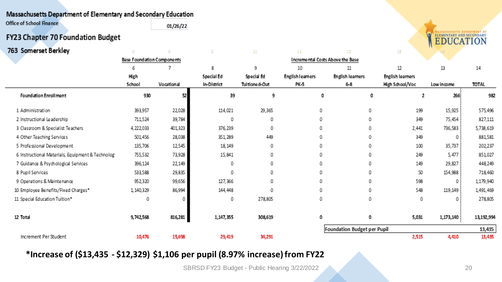#### Massachusetts Department of Elementary and Secondary Education

**Office of School Finance**  $01/26/22$ 

#### FY23 Chapter 70 Foundation Budget

| 763 Somerset Berkley                             |                                   |            |             |               |                                  |                             | 生物                      |            |              |  |  |  |
|--------------------------------------------------|-----------------------------------|------------|-------------|---------------|----------------------------------|-----------------------------|-------------------------|------------|--------------|--|--|--|
|                                                  | <b>Base Foundation Components</b> |            |             |               | Incremental Costs Above the Base |                             |                         |            |              |  |  |  |
|                                                  |                                   |            | 8           | 9             | 10                               | 11                          | 12                      | 13         | 14           |  |  |  |
|                                                  | High                              |            | Special Ed  | Special Ed    | <b>English learners</b>          | <b>English learners</b>     | <b>English learners</b> |            |              |  |  |  |
|                                                  | School                            | Vocational | In-District | Tuitioned-Out | PK-5                             | $6 - 8$                     | High School/Voc         | Low income | <b>TOTAL</b> |  |  |  |
| Foundation Enroll ment                           | 930                               | 52         | 39          | 9             | 0                                | 0                           | ,                       | 266        | 982          |  |  |  |
| 1 Administration                                 | 393,957                           | 22,028     | 114,021     | 29,365        | 0                                | 0                           | 199                     | 15,925     | 575,496      |  |  |  |
| 2 Instructional Leadership                       | 711,524                           | 39,784     | 0           | 0             | 0                                | 0                           | 349                     | 75,454     | 827,111      |  |  |  |
| 3 Classroom & Specialist Teachers                | 4,222,033                         | 401,323    | 376, 239    | 0             | 0                                | 0                           | 2,441                   | 736,583    | 5,738,619    |  |  |  |
| 4 Other Teaching Services                        | 501,456                           | 28,038     | 351, 289    | 449           | 0                                | 0                           | 349                     |            | 881,581      |  |  |  |
| 5 Professional Development                       | 135,706                           | 12,545     | 18, 149     | 0             | 0                                | 0                           | 100                     | 35,737     | 202,237      |  |  |  |
| 6 Instructional Materials, Equipment & Technolog | 755,532                           | 73,928     | 15,841      | 0             | 0                                | 0                           | 249                     | 5,477      | 851,027      |  |  |  |
| 7 Guidance & Psychological Services              | 396,124                           | 22,149     | 0           | 0             | 0                                | 0                           | 149                     | 29,827     | 448,249      |  |  |  |
| 8 Pupil Services                                 | 533,588                           | 29,835     | 0           | 0             | 0                                | 0                           | 50                      | 154,988    | 718,460      |  |  |  |
| 9 Operations & Maintenance                       | 952,320                           | 99,656     | 127,366     | 0             | 0                                | 0                           | 598                     |            | 1,179,940    |  |  |  |
| 10 Employee Benefits/Fixed Charges*              | 1, 140, 329                       | 86,994     | 144,448     | 0             | 0                                | 0                           | 548                     | 119,149    | 1,491,469    |  |  |  |
| 11 Special Education Tuition*                    | ٥                                 |            | 0           | 278,805       | 0                                | 0                           | 0                       |            | 278,805      |  |  |  |
| 12 Total                                         | 9,742,568                         | 816,281    | 1,147,355   | 308,619       | 0                                | 0                           | 5,031                   | 1,173,140  | 13,192,994   |  |  |  |
|                                                  |                                   |            |             |               |                                  | Foundation Budget per Pupil |                         |            | 13,435       |  |  |  |
| Increment Per Student                            | 10,476                            | 15,698     | 29,419      | 34,291        |                                  |                             | 2,515                   | 4,410      | 13,435       |  |  |  |

#### **\*Increase of (\$13,435 - \$12,329) \$1,106 per pupil (8.97% increase) from FY22**

SBRSD FY23 Budget - Public Hearing 3/22/2022 2022 2023 2020 20

ASSACHUSETTS DEPARTMENT OF

**ELEMENTARY AND SECONDARY**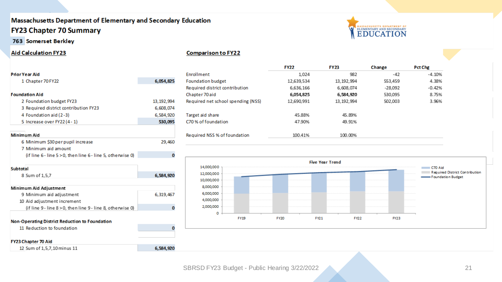#### Massachusetts Department of Elementary and Secondary Education **FY23 Chapter 70 Summary**

763 Somerset Berkley

12 Sum of 1,5,7,10 minus 11

#### **Aid Calculation FY23**

| <b>Prior Year Aid</b>                                       |              |
|-------------------------------------------------------------|--------------|
| 1 Chapter 70 FY22                                           | 6,054,825    |
|                                                             |              |
| <b>Foundation Aid</b>                                       |              |
| 2 Foundation budget FY23                                    | 13, 192, 994 |
| 3 Required district contribution FY23                       | 6,608,074    |
| 4 Foundation aid (2-3)                                      | 6,584,920    |
| 5 Increase over FY22 (4 - 1)                                | 530,095      |
|                                                             |              |
| Minimum Aid                                                 |              |
| 6 Minimum \$30 per pupil increase                           | 29,460       |
| 7 Minimum aid amount                                        |              |
| (if line 6 - line 5 > 0, then line 6 - line 5, otherwise 0) | 0            |
|                                                             |              |
| Subtotal                                                    |              |
| 8 Sum of 1,5,7                                              | 6,584,920    |
|                                                             |              |
| Minimum Aid Adjustment                                      |              |
| 9 Minimum aid adjustment                                    | 6,319,467    |
| 10 Aid adjustment increment                                 |              |
| (if line 9 - line 8 > 0, then line 9 - line 8, otherwise 0) | 0            |
|                                                             |              |
| <b>Non-Operating District Reduction to Foundation</b>       |              |
| 11 Reduction to foundation                                  | 0            |
|                                                             |              |
| <b>FY23 Chapter 70 Aid</b>                                  |              |

#### **Comparison to FY22**

|                                    | <b>FY22</b> | <b>FY23</b>  | Change  | Pct Chg  |
|------------------------------------|-------------|--------------|---------|----------|
| <b>Enrollment</b>                  | 1.024       | 982          | -42     | $-4.10%$ |
| <b>Foundation budget</b>           | 12,639,534  | 13, 192, 994 | 553,459 | 4.38%    |
| Required district contribution     | 6,636,166   | 6,608,074    | -28.092 | $-0.42%$ |
| Chapter 70 aid                     | 6,054,825   | 6,584,920    | 530,095 | 8.75%    |
| Required net school spending (NSS) | 12,690,991  | 13, 192, 994 | 502,003 | 3.96%    |
| Target aid share                   | 45.88%      | 45.89%       |         |          |
| C70 % of foundation                | 47.90%      | 49.91%       |         |          |
| Required NSS % of foundation       | 100.41%     | 100.00%      |         |          |



ELEMENTARY AND SECONDARY

 $\sigma$ 

6,584,920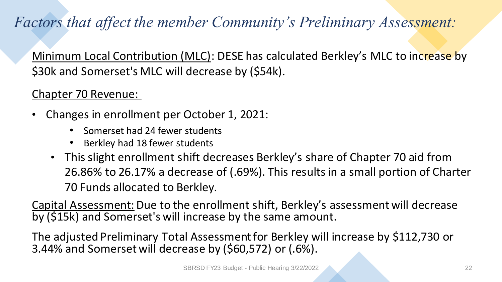#### *Factors that affect the member Community's Preliminary Assessment:*

Minimum Local Contribution (MLC): DESE has calculated Berkley's MLC to increase by \$30k and Somerset's MLC will decrease by (\$54k).

#### Chapter 70 Revenue:

- Changes in enrollment per October 1, 2021:
	- Somerset had 24 fewer students
	- Berkley had 18 fewer students
	- This slight enrollment shift decreases Berkley's share of Chapter 70 aid from 26.86% to 26.17% a decrease of (.69%). This results in a small portion of Charter 70 Funds allocated to Berkley.

Capital Assessment: Due to the enrollment shift, Berkley's assessment will decrease by (\$15k) and Somerset's will increase by the same amount.

The adjusted Preliminary Total Assessment for Berkley will increase by \$112,730 or 3.44% and Somerset will decrease by (\$60,572) or (.6%).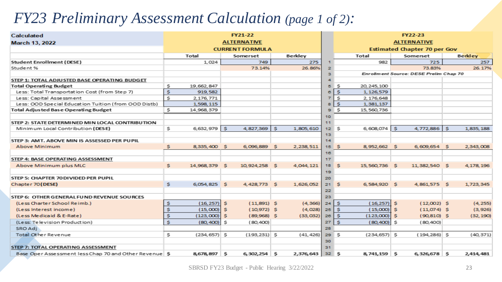#### *FY23 Preliminary Assessment Calculation (page 1 of 2):*

| Calculated                                            | <b>FY21-22</b>     |                 |          |                        |          |           | <b>FY22-23</b>     |                                     |                 |          |                                        |   |                |
|-------------------------------------------------------|--------------------|-----------------|----------|------------------------|----------|-----------|--------------------|-------------------------------------|-----------------|----------|----------------------------------------|---|----------------|
| <b>March 13, 2022</b>                                 | <b>ALTERNATIVE</b> |                 |          |                        |          |           | <b>ALTERNATIVE</b> |                                     |                 |          |                                        |   |                |
|                                                       |                    |                 |          | <b>CURRENT FORMULA</b> |          |           |                    | <b>Estimated Chapter 70 per Gov</b> |                 |          |                                        |   |                |
|                                                       |                    | Total           |          | Somerset               |          | Berkley   |                    |                                     | Total           |          | Somerset                               |   | <b>Berkley</b> |
| <b>Student Enrollment (DESE)</b>                      |                    | 1,024           |          | 749                    |          | 275       |                    |                                     | 982             |          | 725                                    |   | 257            |
| Student %                                             |                    |                 |          | 73.14%                 |          | 26.86%    | $\mathbf{z}$       |                                     |                 |          | 73.83%                                 |   | 26.17%         |
|                                                       |                    |                 |          |                        |          |           | з                  |                                     |                 |          | Enrollment Source: DESE Prelim Chap 70 |   |                |
| STEP 1: TOTAL ADJUSTED BASE OPERATING BUDGET          |                    |                 |          |                        |          |           |                    |                                     |                 |          |                                        |   |                |
| <b>Total Operating Budget</b>                         | s                  | 19,662,847      |          |                        |          |           | 5                  | s                                   | 20, 245, 100    |          |                                        |   |                |
| Less: Total Transportation Cost (from Step 7)         | \$.                | 919,582         |          |                        |          |           | в                  | s                                   | 1,126,579       |          |                                        |   |                |
| Less: Capital Assessment                              | s                  | 2.176.771       |          |                        |          |           |                    | s                                   | 2,176,648       |          |                                        |   |                |
| Less: OOD Special Education Tuition (from OOD Distb)  |                    | 1,598,115       |          |                        |          |           |                    | s                                   | 1,381,137       |          |                                        |   |                |
| Total Adjusted Base Operating Budget                  | \$                 | 14,968,379      |          |                        |          |           | э                  | s                                   | 15,560,736      |          |                                        |   |                |
|                                                       |                    |                 |          |                        |          |           | 10                 |                                     |                 |          |                                        |   |                |
| STEP 2: STATE DETERMINED MIN LOCAL CONTRIBUTION       |                    |                 |          |                        |          |           | 11                 |                                     |                 |          |                                        |   |                |
| Minimum Local Contribution (DESE)                     | s                  | 6,632,979       | l s      | 4,827,369              | s.       | 1,805,610 | 12 <sub>1</sub>    | s                                   | $6,608,074$ \$  |          | $4,772,886$ S                          |   | 1,835,188      |
|                                                       |                    |                 |          |                        |          |           | 13 <sub>1</sub>    |                                     |                 |          |                                        |   |                |
| STEP 3: AMT. ABOVE MIN IS ASSESSED PER PUPIL          |                    |                 |          |                        |          |           | 14                 |                                     |                 |          |                                        |   |                |
| <b>Above Minimum</b>                                  | s                  | 8,335,400       | -S       | 6,096,889              | <b>s</b> | 2,238,511 | 15                 | s                                   | 8,952,662 \$    |          | 6,609,654 \$                           |   | 2,343,008      |
|                                                       |                    |                 |          |                        |          |           | 16                 |                                     |                 |          |                                        |   |                |
| STEP 4: BASE OPERATING ASSESSMENT                     |                    |                 |          |                        |          |           | 17                 |                                     |                 |          |                                        |   |                |
| Above Minimum plus MLC                                | s.                 | 14,968,379      | <b>S</b> | 10,924,258             | -S       | 4,044,121 | 18                 | s                                   | 15,560,736 \$   |          | 11,382,540 S                           |   | 4,178,196      |
|                                                       |                    |                 |          |                        |          |           | 19                 |                                     |                 |          |                                        |   |                |
| STEP 5: CHAPTER 70 DIVIDED PER PUPIL                  |                    |                 |          |                        |          |           | 20                 |                                     |                 |          |                                        |   |                |
| Chapter 70 (DESE)                                     | s.                 | 6,054,825 \$    |          | 4,428,773 \$           |          | 1,626,052 | 21                 | S                                   | 6,584,920 \$    |          | 4,861,575 \$                           |   | 1,723,345      |
|                                                       |                    |                 |          |                        |          |           | 22<br>23           |                                     |                 |          |                                        |   |                |
| STEP 6: OTHER GENERAL FUND REVENUE SOURCES            |                    |                 |          |                        |          |           |                    |                                     |                 |          |                                        |   |                |
| (Less Charter School Reimb.)                          | S                  | (16, 257)       | S        | $(11,891)$ \$          |          | (4, 366)  | 24                 | S                                   | $(16,257)$ \$   |          | $(12,002)$ \$                          |   | (4, 255)       |
| (Less Interest income)                                | s                  | (15,000)        | s        | $(10,972)$ \$          |          | (4,028)   | 25                 | s                                   | (15,000)        | <b>S</b> | $(11,074)$ \$                          |   | (3, 926)       |
| (Less Medicaid & E-Rate)                              | \$                 | (123,000)       | s.       | $(89,968)$ \$          |          | (33,032)  | 26                 | s                                   | $(123,000)$ \$  |          | $(90, 810)$ \$                         |   | (32, 190)      |
| (Less: Television Production)                         | s                  | (80, 400)       | s        | (80,400)               |          |           | 27                 | S                                   | (80,400)        | -S       | (80,400)                               |   |                |
| SRO Adj                                               |                    |                 |          |                        |          |           | 28                 |                                     |                 |          |                                        |   |                |
| Total Other Revenue                                   | \$                 | $(234, 657)$ \$ |          | $(193, 231)$ \$        |          | (41, 426) | 29S                |                                     | $(234, 657)$ \$ |          | $(194, 286)$ \$                        |   | (40, 371)      |
|                                                       |                    |                 |          |                        |          |           | 30                 |                                     |                 |          |                                        |   |                |
| STEP 7: TOTAL OPERATING ASSESSMENT                    |                    |                 |          |                        |          |           | 31                 |                                     |                 |          |                                        |   |                |
| Base Oper Assessment less Chap 70 and Other Revenue S |                    | 8,678,897 \$    |          | $6,302,254$ \$         |          | 2,376,643 | $32 \quad S$       |                                     | 8,741,159 \$    |          | 6,326,678                              | S | 2,414,481      |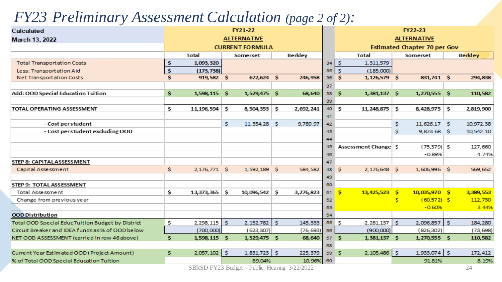#### *FY23 Preliminary Assessment Calculation (page 2 of 2):*

| <b>Calculated</b>                                 |     | FY21-22                                      |     |                |    |                                      |    | <b>FY22-23</b>        |                                     |                |  |                     |  |  |
|---------------------------------------------------|-----|----------------------------------------------|-----|----------------|----|--------------------------------------|----|-----------------------|-------------------------------------|----------------|--|---------------------|--|--|
| March 13, 2022                                    |     | <b>ALTERNATIVE</b><br><b>CURRENT FORMULA</b> |     |                |    |                                      |    | <b>ALTERNATIVE</b>    |                                     |                |  |                     |  |  |
|                                                   |     |                                              |     |                |    |                                      |    |                       | <b>Estimated Chapter 70 per Gov</b> |                |  |                     |  |  |
|                                                   |     | Total                                        |     | Somerset       |    | Berkley                              |    | Total                 | Somerset                            |                |  | <b>Berkley</b>      |  |  |
| <b>Total Transportation Costs</b>                 | \$  | 1,093,320                                    |     |                |    |                                      | 34 | \$<br>1,311,579       |                                     |                |  |                     |  |  |
| Less: Transportation Aid                          | \$. | (173, 738)                                   |     |                |    |                                      | 35 | S.<br>(185,000)       |                                     |                |  |                     |  |  |
| Net Transportation Costs                          | s   | 919,582 \$                                   |     | 672,624 \$     |    | 246,958                              | 36 | s<br>1,126,579 \$     |                                     | 831,741 \$     |  | 294,838             |  |  |
|                                                   |     |                                              |     |                |    |                                      | 37 |                       |                                     |                |  |                     |  |  |
| Add: OOD Special Education Tuition                | s   | 1,598,115 \$                                 |     | 1,529,475 \$   |    | 68,640                               | 38 | s<br>1,381,137 \$     |                                     | 1,270,555 \$   |  | 110,582             |  |  |
|                                                   |     |                                              |     |                |    |                                      | 39 |                       |                                     |                |  |                     |  |  |
| TOTAL OPERATING ASSESSMENT                        | \$  | 11,196,594                                   | s   | 8,504,353 \$   |    | 2,692,241                            | 40 | s<br>11, 248, 875     | s                                   | 8,428,975 \$   |  | 2,819,900           |  |  |
|                                                   |     |                                              |     |                |    |                                      | 41 |                       |                                     |                |  |                     |  |  |
| - Cost per student                                |     |                                              | \$. | 11,354.28 \$   |    | 9,789.97                             | 42 |                       | \$.                                 | 11,626.17 \$   |  | 10,972.38           |  |  |
| - Cost per student excluding OOD                  |     |                                              |     |                |    |                                      | 43 |                       | \$                                  | 9,873.68 \$    |  | 10,542.10           |  |  |
|                                                   |     |                                              |     |                |    |                                      | 44 |                       |                                     |                |  |                     |  |  |
|                                                   |     |                                              |     |                |    |                                      | 45 | Assessment Change \$  |                                     | $(75, 379)$ \$ |  | 127,660             |  |  |
|                                                   |     |                                              |     |                |    |                                      | 46 |                       |                                     | $-0.89%$       |  | 4.74%               |  |  |
| STEP 8: CAPITAL ASSESS MENT                       |     |                                              |     |                |    |                                      | 47 |                       |                                     |                |  |                     |  |  |
| Capital Assessment                                | \$  | 2,176,771 \$                                 |     | 1,592,189      | -S | 584,582                              | 48 | s.<br>2,176,648 \$    |                                     | 1,606,996 \$   |  | 569,652             |  |  |
|                                                   |     |                                              |     |                |    |                                      | 49 |                       |                                     |                |  |                     |  |  |
| STEP 9: TOTAL ASSESSMENT                          |     |                                              |     |                |    |                                      | 50 |                       |                                     |                |  |                     |  |  |
| Total Assessment                                  | \$  | 13,373,365                                   | s   | 10,096,542 \$  |    | 3,276,823                            | 51 | s<br>13,425,523 \$    |                                     | 10,035,970 \$  |  | 3,389,553           |  |  |
| Change from previous year                         |     |                                              |     |                |    |                                      | 52 |                       | s                                   | $(60, 572)$ \$ |  | 112,730             |  |  |
|                                                   |     |                                              |     |                |    |                                      | 53 |                       |                                     | $-0.60%$       |  | 3.44%               |  |  |
| <b>OOD Distribution</b>                           |     |                                              |     |                |    |                                      | 54 |                       |                                     |                |  |                     |  |  |
| Total OOD Special Educ Tuition Budget by District | \$  | 2,298,115                                    | -S  | $2,152,782$ \$ |    | 145,333                              |    | $2,281,137$ \$<br>55S |                                     | $2,096,857$ \$ |  | 184,280             |  |  |
| Circuit Breaker and IDEA funds as % of OOD below  |     | (700,000)                                    |     | (623,307)      |    | (76, 693)                            | 56 | (900,000)             |                                     | (826, 302)     |  | (73, 698)           |  |  |
| NET OOD ASSESSMENT (carried in row 46 above)      | \$  | 1,598,115 \$                                 |     | 1,529,475 \$   |    | 68,640                               | 57 | \$.<br>1,381,137 \$   |                                     | 1,270,555 \$   |  | 110,582             |  |  |
|                                                   |     |                                              |     |                |    |                                      | 58 |                       |                                     |                |  |                     |  |  |
| Current Year Estimated OOD (Project Amount)       | \$  | 2,057,102                                    | -\$ | $1,831,723$ \$ |    | 225,379                              | 59 | $2,105,486$ \$<br>s   |                                     | 1,933,074   \$ |  | 172,412             |  |  |
| % of Total OOD Special Education Tuition          |     |                                              |     | 89.04%         |    | 10.96%                               | 60 |                       |                                     | 91.81%         |  | 8.19%               |  |  |
|                                                   |     | CDDCD $EVA2$ Dudoot                          |     |                |    | Duble $H_{\text{couino}}$ $2/22/202$ |    |                       |                                     |                |  | $\bigcap$ $\bigcap$ |  |  |

SBRSD FY23 Budget - Public Hearing  $3/22/2022$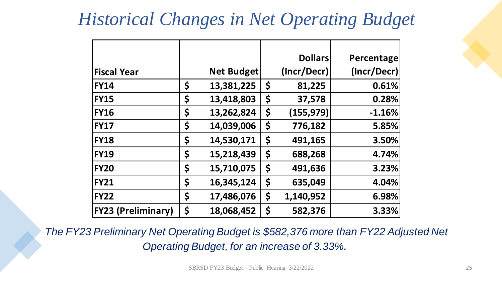### *Historical Changes in Net Operating Budget*

|                           |                  | <b>Dollars</b>   | Percentage  |
|---------------------------|------------------|------------------|-------------|
| <b>Fiscal Year</b>        | Net Budget       | (Incr/Decr)      | (Incr/Decr) |
| <b>FY14</b>               | \$<br>13,381,225 | \$<br>81,225     | 0.61%       |
| <b>FY15</b>               | \$<br>13,418,803 | \$<br>37,578     | 0.28%       |
| <b>FY16</b>               | \$<br>13,262,824 | \$<br>(155, 979) | $-1.16%$    |
| <b>FY17</b>               | \$<br>14,039,006 | \$<br>776,182    | 5.85%       |
| <b>FY18</b>               | \$<br>14,530,171 | \$<br>491,165    | 3.50%       |
| <b>FY19</b>               | \$<br>15,218,439 | \$<br>688,268    | 4.74%       |
| <b>FY20</b>               | \$<br>15,710,075 | \$<br>491,636    | 3.23%       |
| <b>FY21</b>               | \$<br>16,345,124 | \$<br>635,049    | 4.04%       |
| <b>FY22</b>               | \$<br>17,486,076 | \$<br>1,140,952  | 6.98%       |
| <b>FY23 (Preliminary)</b> | \$<br>18,068,452 | \$<br>582,376    | 3.33%       |

*The FY23 Preliminary Net Operating Budget is \$582,376 more than FY22 Adjusted Net Operating Budget, for an increase of 3.33%.*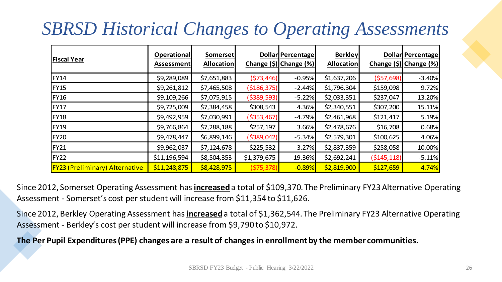## *SBRSD Historical Changes to Operating Assessments*

|                                       | <b>Operational</b> | <b>Somerset</b>   |               | <b>Dollar Percentage</b>                      | <b>Berkley</b>    |               | <b>Dollar Percentage</b> |
|---------------------------------------|--------------------|-------------------|---------------|-----------------------------------------------|-------------------|---------------|--------------------------|
| <b>Fiscal Year</b>                    | <b>Assessment</b>  | <b>Allocation</b> |               | Change $(\frac{5}{2})$ Change $(\frac{9}{2})$ | <b>Allocation</b> |               | Change (\$) Change (%)   |
| <b>FY14</b>                           | \$9,289,089        | \$7,651,883       | (\$73,446)    | $-0.95%$                                      | \$1,637,206       | (557, 698)    | $-3.40%$                 |
| <b>FY15</b>                           | \$9,261,812        | \$7,465,508       | ( \$186, 375) | $-2.44%$                                      | \$1,796,304       | \$159,098     | 9.72%                    |
| <b>FY16</b>                           | \$9,109,266        | \$7,075,915       | ( \$389, 593) | $-5.22%$                                      | \$2,033,351       | \$237,047     | 13.20%                   |
| <b>FY17</b>                           | \$9,725,009        | \$7,384,458       | \$308,543     | 4.36%                                         | \$2,340,551       | \$307,200     | 15.11%                   |
| <b>FY18</b>                           | \$9,492,959        | \$7,030,991       | ( \$353,467)  | $-4.79%$                                      | \$2,461,968       | \$121,417     | 5.19%                    |
| <b>FY19</b>                           | \$9,766,864        | \$7,288,188       | \$257,197     | 3.66%                                         | \$2,478,676       | \$16,708      | 0.68%                    |
| <b>FY20</b>                           | \$9,478,447        | \$6,899,146       | ( \$389,042)  | $-5.34%$                                      | \$2,579,301       | \$100,625     | 4.06%                    |
| <b>FY21</b>                           | \$9,962,037        | \$7,124,678       | \$225,532     | 3.27%                                         | \$2,837,359       | \$258,058     | 10.00%                   |
| <b>FY22</b>                           | \$11,196,594       | \$8,504,353       | \$1,379,675   | 19.36%                                        | \$2,692,241       | ( \$145, 118) | $-5.11%$                 |
| <b>FY23 (Preliminary) Alternative</b> | \$11,248,875       | \$8,428,975       | (575, 378)    | $-0.89%$                                      | \$2,819,900       | \$127,659     | 4.74%                    |

Since 2012, Somerset Operating Assessment has **increased**a total of \$109,370. The Preliminary FY23 Alternative Operating Assessment - Somerset's cost per student will increase from \$11,354 to \$11,626.

Since 2012, Berkley Operating Assessment has **increased**a total of \$1,362,544. The Preliminary FY23 Alternative Operating Assessment - Berkley's cost per student will increase from \$9,790 to \$10,972.

**The Per Pupil Expenditures (PPE) changes are a result of changes in enrollment by the member communities.**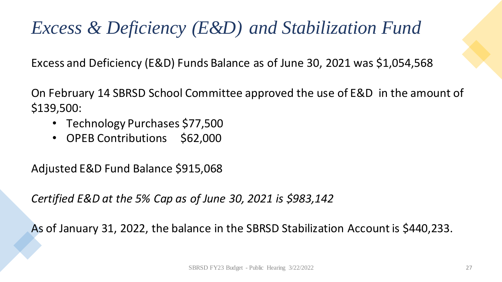## *Excess & Deficiency (E&D) and Stabilization Fund*

Excess and Deficiency (E&D) Funds Balance as of June 30, 2021 was \$1,054,568

On February 14 SBRSD School Committee approved the use of E&D in the amount of \$139,500:

- Technology Purchases \$77,500
- OPEB Contributions \$62,000

Adjusted E&D Fund Balance \$915,068

*Certified E&D at the 5% Cap as of June 30, 2021 is \$983,142*

As of January 31, 2022, the balance in the SBRSD Stabilization Account is \$440,233.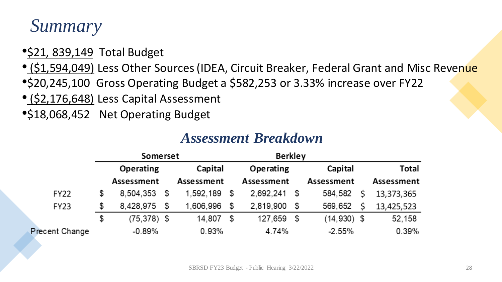### *Summary*

- \$21, 839,149 Total Budget
- (\$1,594,049) Less Other Sources (IDEA, Circuit Breaker, Federal Grant and Misc Revenue
- •\$20,245,100 Gross Operating Budget a \$582,253 or 3.33% increase over FY22
- (\$2,176,648) Less Capital Assessment
- •\$18,068,452 Net Operating Budget

|                       | Somerset |                  |      |            |    | <b>Berkley</b> |         |               |   |            |
|-----------------------|----------|------------------|------|------------|----|----------------|---------|---------------|---|------------|
|                       |          | <b>Operating</b> |      | Capital    |    | Operating      | Capital | Total         |   |            |
|                       |          | Assessment       |      | Assessment |    | Assessment     |         | Assessment    |   | Assessment |
| <b>FY22</b>           | \$       | 8,504,353        | \$   | 1,592,189  | \$ | 2,692,241      | \$      | 584,582       | ς | 13,373,365 |
| <b>FY23</b>           | \$       | 8,428,975        | - \$ | 1,606,996  | \$ | 2,819,900      | - \$    | 569,652       |   | 13,425,523 |
|                       | \$       | $(75, 378)$ \$   |      | 14,807     | \$ | 127,659        | - \$    | $(14,930)$ \$ |   | 52,158     |
| <b>Precent Change</b> |          | $-0.89\%$        |      | 0.93%      |    | 4.74%          |         | $-2.55%$      |   | 0.39%      |

#### *Assessment Breakdown*